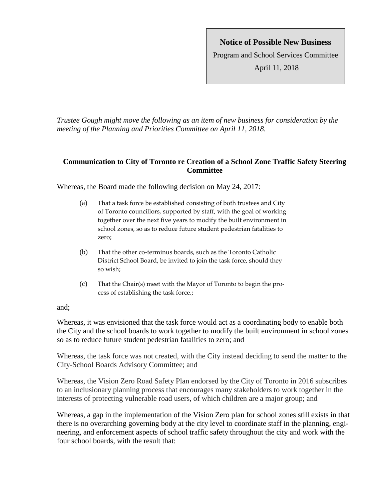## **Notice of Possible New Business**

Program and School Services Committee April 11, 2018

*Trustee Gough might move the following as an item of new business for consideration by the meeting of the Planning and Priorities Committee on April 11, 2018.*

## **Communication to City of Toronto re Creation of a School Zone Traffic Safety Steering Committee**

Whereas, the Board made the following decision on May 24, 2017:

- (a) That a task force be established consisting of both trustees and City of Toronto councillors, supported by staff, with the goal of working together over the next five years to modify the built environment in school zones, so as to reduce future student pedestrian fatalities to zero;
- (b) That the other co-terminus boards, such as the Toronto Catholic District School Board, be invited to join the task force, should they so wish;
- (c) That the Chair(s) meet with the Mayor of Toronto to begin the process of establishing the task force.;

and;

Whereas, it was envisioned that the task force would act as a coordinating body to enable both the City and the school boards to work together to modify the built environment in school zones so as to reduce future student pedestrian fatalities to zero; and

Whereas, the task force was not created, with the City instead deciding to send the matter to the City-School Boards Advisory Committee; and

Whereas, the Vision Zero Road Safety Plan endorsed by the City of Toronto in 2016 subscribes to an inclusionary planning process that encourages many stakeholders to work together in the interests of protecting vulnerable road users, of which children are a major group; and

Whereas, a gap in the implementation of the Vision Zero plan for school zones still exists in that there is no overarching governing body at the city level to coordinate staff in the planning, engineering, and enforcement aspects of school traffic safety throughout the city and work with the four school boards, with the result that: